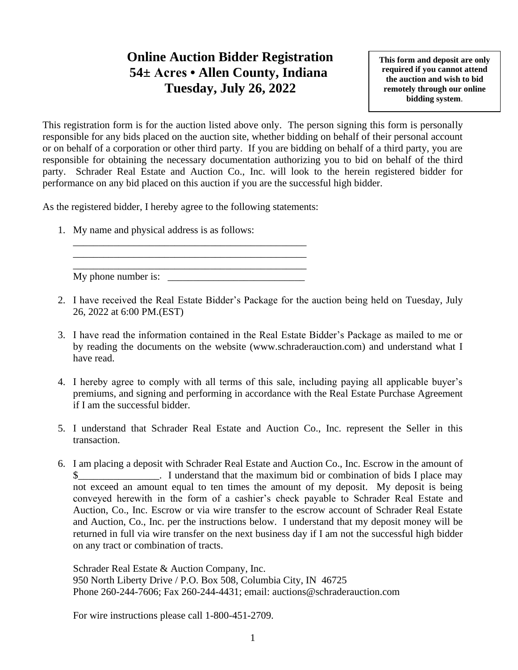## **Online Auction Bidder Registration 54± Acres • Allen County, Indiana Tuesday, July 26, 2022**

**This form and deposit are only required if you cannot attend the auction and wish to bid remotely through our online bidding system**.

This registration form is for the auction listed above only. The person signing this form is personally responsible for any bids placed on the auction site, whether bidding on behalf of their personal account or on behalf of a corporation or other third party. If you are bidding on behalf of a third party, you are responsible for obtaining the necessary documentation authorizing you to bid on behalf of the third party. Schrader Real Estate and Auction Co., Inc. will look to the herein registered bidder for performance on any bid placed on this auction if you are the successful high bidder.

As the registered bidder, I hereby agree to the following statements:

\_\_\_\_\_\_\_\_\_\_\_\_\_\_\_\_\_\_\_\_\_\_\_\_\_\_\_\_\_\_\_\_\_\_\_\_\_\_\_\_\_\_\_\_\_\_ \_\_\_\_\_\_\_\_\_\_\_\_\_\_\_\_\_\_\_\_\_\_\_\_\_\_\_\_\_\_\_\_\_\_\_\_\_\_\_\_\_\_\_\_\_\_

1. My name and physical address is as follows:

\_\_\_\_\_\_\_\_\_\_\_\_\_\_\_\_\_\_\_\_\_\_\_\_\_\_\_\_\_\_\_\_\_\_\_\_\_\_\_\_\_\_\_\_\_\_ My phone number is:

- 2. I have received the Real Estate Bidder's Package for the auction being held on Tuesday, July 26, 2022 at 6:00 PM.(EST)
- 3. I have read the information contained in the Real Estate Bidder's Package as mailed to me or by reading the documents on the website (www.schraderauction.com) and understand what I have read.
- 4. I hereby agree to comply with all terms of this sale, including paying all applicable buyer's premiums, and signing and performing in accordance with the Real Estate Purchase Agreement if I am the successful bidder.
- 5. I understand that Schrader Real Estate and Auction Co., Inc. represent the Seller in this transaction.
- 6. I am placing a deposit with Schrader Real Estate and Auction Co., Inc. Escrow in the amount of I understand that the maximum bid or combination of bids I place may not exceed an amount equal to ten times the amount of my deposit. My deposit is being conveyed herewith in the form of a cashier's check payable to Schrader Real Estate and Auction, Co., Inc. Escrow or via wire transfer to the escrow account of Schrader Real Estate and Auction, Co., Inc. per the instructions below. I understand that my deposit money will be returned in full via wire transfer on the next business day if I am not the successful high bidder on any tract or combination of tracts.

Schrader Real Estate & Auction Company, Inc. 950 North Liberty Drive / P.O. Box 508, Columbia City, IN 46725 Phone 260-244-7606; Fax 260-244-4431; email: auctions@schraderauction.com

For wire instructions please call 1-800-451-2709.